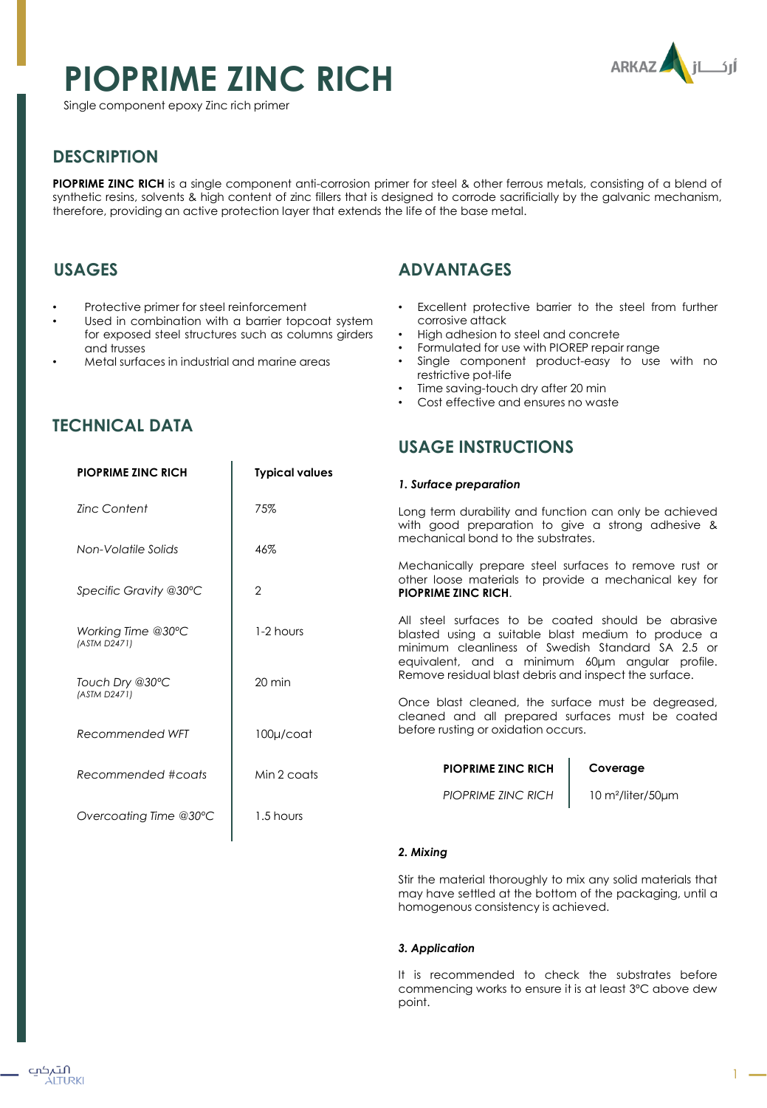# **PIOPRIME ZINC RICH**



Single component epoxy Zinc rich primer

## **DESCRIPTION**

**PIOPRIME ZINC RICH** is a single component anti-corrosion primer for steel & other ferrous metals, consisting of a blend of synthetic resins, solvents & high content of zinc fillers that is designed to corrode sacrificially by the galvanic mechanism, therefore, providing an active protection layer that extends the life of the base metal.

## **USAGES**

- Protective primer for steel reinforcement
- Used in combination with a barrier topcoat system for exposed steel structures such as columns girders and trusses
- Metal surfaces in industrial and marine areas

## **ADVANTAGES**

- Excellent protective barrier to the steel from further corrosive attack
- High adhesion to steel and concrete
- Formulated for use with PIOREP repair range
- Single component product-easy to use with no restrictive pot-life
- Time saving-touch dry after 20 min
- Cost effective and ensures no waste

## **USAGE INSTRUCTIONS**

#### *1. Surface preparation*

Long term durability and function can only be achieved with good preparation to give a strong adhesive & mechanical bond to the substrates.

Mechanically prepare steel surfaces to remove rust or other loose materials to provide a mechanical key for **PIOPRIME ZINC RICH**.

All steel surfaces to be coated should be abrasive blasted using a suitable blast medium to produce a minimum cleanliness of Swedish Standard SA 2.5 or equivalent, and a minimum 60μm angular profile. Remove residual blast debris and inspect the surface.

Once blast cleaned, the surface must be degreased, cleaned and all prepared surfaces must be coated before rusting or oxidation occurs.

> **PIOPRIME ZINC RICH** *PIOPRIME ZINC RICH*

#### **Coverage**

10 m²/liter/50μm

#### *2. Mixing*

Stir the material thoroughly to mix any solid materials that may have settled at the bottom of the packaging, until a homogenous consistency is achieved.

#### *3. Application*

It is recommended to check the substrates before commencing works to ensure it is at least 3ºC above dew point.

## **TECHNICAL DATA**

| <b>PIOPRIME ZINC RICH</b>          | <b>Typical values</b> |
|------------------------------------|-----------------------|
| Zinc Content                       | 75%                   |
| Non-Volatile Solids                | 46%                   |
| Specific Gravity @30°C             | 2                     |
| Working Time @30°C<br>(ASTM D2471) | $1-2$ hours           |
| Touch Dry @30°C<br>(ASTM D2471)    | $20 \text{ min}$      |
| Recommended WFT                    | $100\mu$ /coat        |
| Recommended #coats                 | Min 2 coats           |
| Overcoating Time @30°C             | 1.5 hours             |
|                                    |                       |